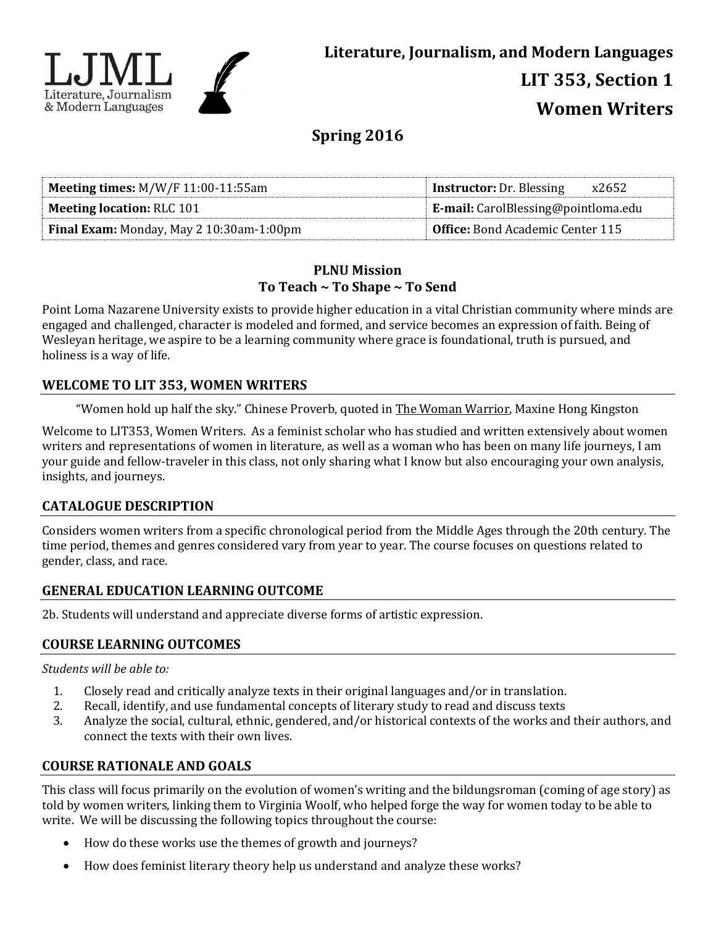

# **Spring 2016**

| <b>Meeting times:</b> $M/W/F$ 11:00-11:55am     | <b>Instructor:</b> Dr. Blessing<br>x2652   |  |
|-------------------------------------------------|--------------------------------------------|--|
| <b>Meeting location: RLC 101</b>                | <b>E-mail:</b> CarolBlessing@pointloma.edu |  |
| <b>Final Exam:</b> Monday, May 2 10:30am-1:00pm | <b>Office:</b> Bond Academic Center 115    |  |

#### **PLNU Mission To Teach ~ To Shape ~ To Send**

Point Loma Nazarene University exists to provide higher education in a vital Christian community where minds are engaged and challenged, character is modeled and formed, and service becomes an expression of faith. Being of Wesleyan heritage, we aspire to be a learning community where grace is foundational, truth is pursued, and holiness is a way of life.

### **WELCOME TO LIT 353, WOMEN WRITERS**

"Women hold up half the sky." Chinese Proverb, quoted in The Woman Warrior, Maxine Hong Kingston

Welcome to LIT353, Women Writers. As a feminist scholar who has studied and written extensively about women writers and representations of women in literature, as well as a woman who has been on many life journeys, I am your guide and fellow-traveler in this class, not only sharing what I know but also encouraging your own analysis, insights, and journeys.

# **CATALOGUE DESCRIPTION**

Considers women writers from a specific chronological period from the Middle Ages through the 20th century. The time period, themes and genres considered vary from year to year. The course focuses on questions related to gender, class, and race.

#### **GENERAL EDUCATION LEARNING OUTCOME**

2b. Students will understand and appreciate diverse forms of artistic expression.

# **COURSE LEARNING OUTCOMES**

*Students will be able to:*

- 1. Closely read and critically analyze texts in their original languages and/or in translation.
- 2. Recall, identify, and use fundamental concepts of literary study to read and discuss texts
- 3. Analyze the social, cultural, ethnic, gendered, and/or historical contexts of the works and their authors, and connect the texts with their own lives.

# **COURSE RATIONALE AND GOALS**

This class will focus primarily on the evolution of women's writing and the bildungsroman (coming of age story) as told by women writers, linking them to Virginia Woolf, who helped forge the way for women today to be able to write. We will be discussing the following topics throughout the course:

- How do these works use the themes of growth and journeys?
- How does feminist literary theory help us understand and analyze these works?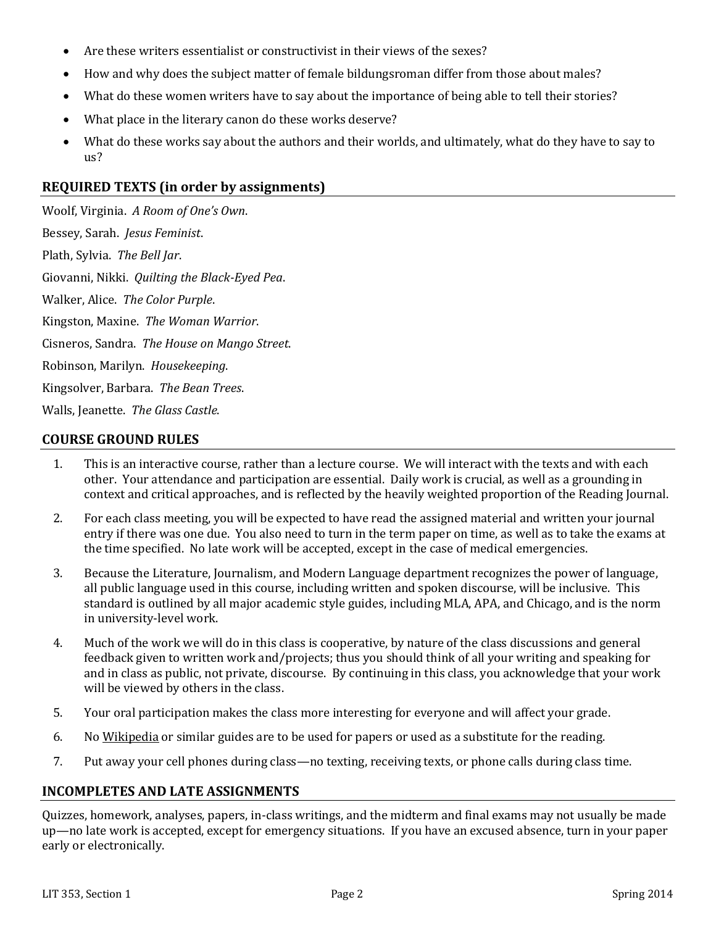- Are these writers essentialist or constructivist in their views of the sexes?
- How and why does the subject matter of female bildungsroman differ from those about males?
- What do these women writers have to say about the importance of being able to tell their stories?
- What place in the literary canon do these works deserve?
- What do these works say about the authors and their worlds, and ultimately, what do they have to say to us?

### **REQUIRED TEXTS (in order by assignments)**

Woolf, Virginia. *A Room of One's Own*. Bessey, Sarah. *Jesus Feminist*. Plath, Sylvia. *The Bell Jar*. Giovanni, Nikki. *Quilting the Black-Eyed Pea*. Walker, Alice. *The Color Purple*. Kingston, Maxine. *The Woman Warrior*. Cisneros, Sandra. *The House on Mango Street*. Robinson, Marilyn. *Housekeeping*. Kingsolver, Barbara. *The Bean Trees*. Walls, Jeanette. *The Glass Castle*.

#### **COURSE GROUND RULES**

- 1. This is an interactive course, rather than a lecture course. We will interact with the texts and with each other. Your attendance and participation are essential. Daily work is crucial, as well as a grounding in context and critical approaches, and is reflected by the heavily weighted proportion of the Reading Journal.
- 2. For each class meeting, you will be expected to have read the assigned material and written your journal entry if there was one due. You also need to turn in the term paper on time, as well as to take the exams at the time specified. No late work will be accepted, except in the case of medical emergencies.
- 3. Because the Literature, Journalism, and Modern Language department recognizes the power of language, all public language used in this course, including written and spoken discourse, will be inclusive. This standard is outlined by all major academic style guides, including MLA, APA, and Chicago, and is the norm in university-level work.
- 4. Much of the work we will do in this class is cooperative, by nature of the class discussions and general feedback given to written work and/projects; thus you should think of all your writing and speaking for and in class as public, not private, discourse. By continuing in this class, you acknowledge that your work will be viewed by others in the class.
- 5. Your oral participation makes the class more interesting for everyone and will affect your grade.
- 6. No Wikipedia or similar guides are to be used for papers or used as a substitute for the reading.
- 7. Put away your cell phones during class—no texting, receiving texts, or phone calls during class time.

#### **INCOMPLETES AND LATE ASSIGNMENTS**

Quizzes, homework, analyses, papers, in-class writings, and the midterm and final exams may not usually be made up—no late work is accepted, except for emergency situations. If you have an excused absence, turn in your paper early or electronically.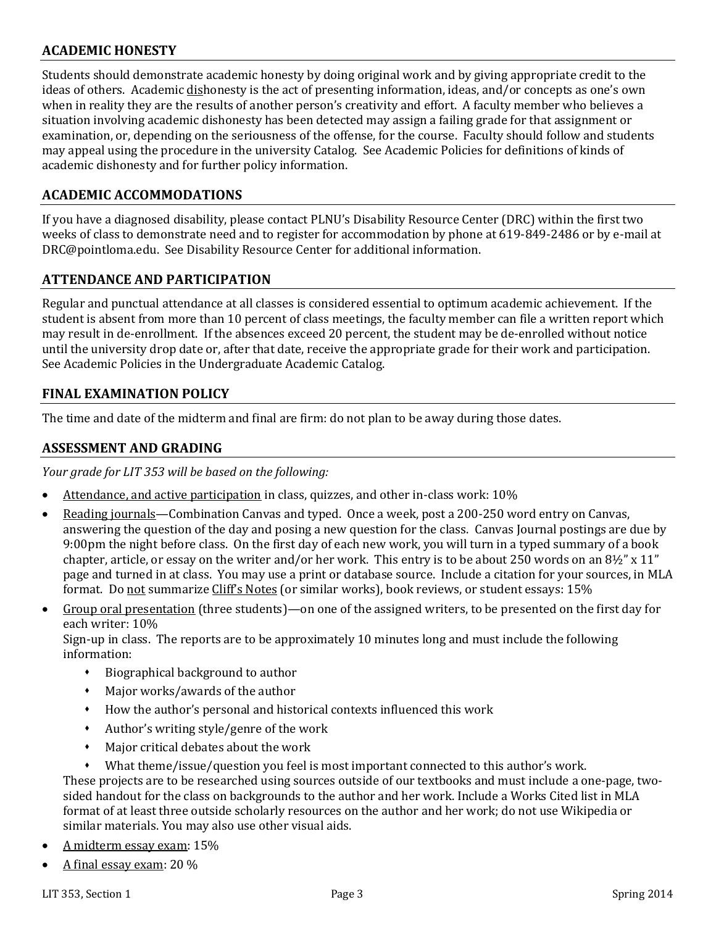### **ACADEMIC HONESTY**

Students should demonstrate academic honesty by doing original work and by giving appropriate credit to the ideas of others. Academic dishonesty is the act of presenting information, ideas, and/or concepts as one's own when in reality they are the results of another person's creativity and effort. A faculty member who believes a situation involving academic dishonesty has been detected may assign a failing grade for that assignment or examination, or, depending on the seriousness of the offense, for the course. Faculty should follow and students may appeal using the procedure in the university Catalog. See Academic Policies for definitions of kinds of academic dishonesty and for further policy information.

#### **ACADEMIC ACCOMMODATIONS**

If you have a diagnosed disability, please contact PLNU's Disability Resource Center (DRC) within the first two weeks of class to demonstrate need and to register for accommodation by phone at 619-849-2486 or by e-mail at DRC@pointloma.edu. See Disability Resource Center for additional information.

#### **ATTENDANCE AND PARTICIPATION**

Regular and punctual attendance at all classes is considered essential to optimum academic achievement. If the student is absent from more than 10 percent of class meetings, the faculty member can file a written report which may result in de-enrollment. If the absences exceed 20 percent, the student may be de-enrolled without notice until the university drop date or, after that date, receive the appropriate grade for their work and participation. See Academic Policies in the Undergraduate Academic Catalog.

#### **FINAL EXAMINATION POLICY**

The time and date of the midterm and final are firm: do not plan to be away during those dates.

#### **ASSESSMENT AND GRADING**

*Your grade for LIT 353 will be based on the following:*

- Attendance, and active participation in class, quizzes, and other in-class work: 10%
- Reading journals—Combination Canvas and typed. Once a week, post a 200-250 word entry on Canvas, answering the question of the day and posing a new question for the class. Canvas Journal postings are due by 9:00pm the night before class. On the first day of each new work, you will turn in a typed summary of a book chapter, article, or essay on the writer and/or her work. This entry is to be about 250 words on an 8½" x 11" page and turned in at class. You may use a print or database source. Include a citation for your sources, in MLA format. Do not summarize Cliff's Notes (or similar works), book reviews, or student essays: 15%
- Group oral presentation (three students)—on one of the assigned writers, to be presented on the first day for each writer: 10%

Sign-up in class. The reports are to be approximately 10 minutes long and must include the following information:

- Biographical background to author
- Major works/awards of the author
- How the author's personal and historical contexts influenced this work
- Author's writing style/genre of the work
- Major critical debates about the work
- What theme/issue/question you feel is most important connected to this author's work.

These projects are to be researched using sources outside of our textbooks and must include a one-page, twosided handout for the class on backgrounds to the author and her work. Include a Works Cited list in MLA format of at least three outside scholarly resources on the author and her work; do not use Wikipedia or similar materials. You may also use other visual aids.

- A midterm essay exam: 15%
- A final essay exam: 20 %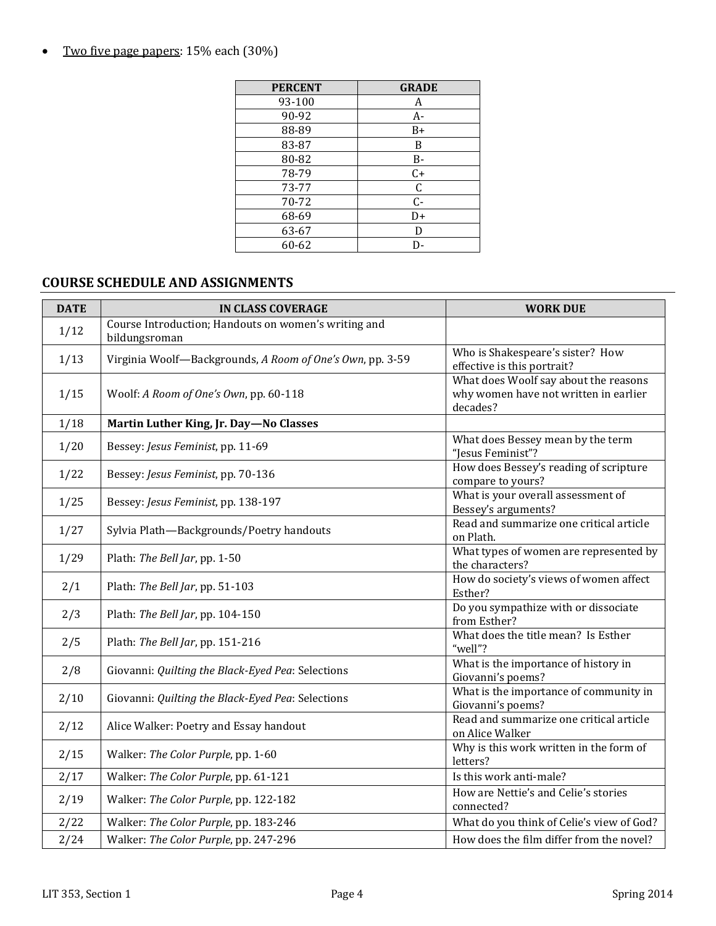• Two five page papers: 15% each (30%)

| <b>PERCENT</b> | <b>GRADE</b> |
|----------------|--------------|
| 93-100         | A            |
| 90-92          | A-           |
| 88-89          | B+           |
| 83-87          | B            |
| 80-82          | B-           |
| 78-79          | $C+$         |
| 73-77          | $\mathsf C$  |
| 70-72          | $C -$        |
| 68-69          | D+           |
| 63-67          | D            |
| 60-62          | D-           |

# **COURSE SCHEDULE AND ASSIGNMENTS**

| <b>DATE</b> | <b>IN CLASS COVERAGE</b>                                              | <b>WORK DUE</b>                                                                            |
|-------------|-----------------------------------------------------------------------|--------------------------------------------------------------------------------------------|
| 1/12        | Course Introduction; Handouts on women's writing and<br>bildungsroman |                                                                                            |
| 1/13        | Virginia Woolf-Backgrounds, A Room of One's Own, pp. 3-59             | Who is Shakespeare's sister? How<br>effective is this portrait?                            |
| 1/15        | Woolf: A Room of One's Own, pp. 60-118                                | What does Woolf say about the reasons<br>why women have not written in earlier<br>decades? |
| 1/18        | Martin Luther King, Jr. Day-No Classes                                |                                                                                            |
| 1/20        | Bessey: Jesus Feminist, pp. 11-69                                     | What does Bessey mean by the term<br>"Jesus Feminist"?                                     |
| 1/22        | Bessey: Jesus Feminist, pp. 70-136                                    | How does Bessey's reading of scripture<br>compare to yours?                                |
| 1/25        | Bessey: Jesus Feminist, pp. 138-197                                   | What is your overall assessment of<br>Bessey's arguments?                                  |
| 1/27        | Sylvia Plath-Backgrounds/Poetry handouts                              | Read and summarize one critical article<br>on Plath.                                       |
| 1/29        | Plath: The Bell Jar, pp. 1-50                                         | What types of women are represented by<br>the characters?                                  |
| 2/1         | Plath: The Bell Jar, pp. 51-103                                       | How do society's views of women affect<br>Esther?                                          |
| 2/3         | Plath: The Bell Jar, pp. 104-150                                      | Do you sympathize with or dissociate<br>from Esther?                                       |
| 2/5         | Plath: The Bell Jar, pp. 151-216                                      | What does the title mean? Is Esther<br>"well"?                                             |
| 2/8         | Giovanni: Quilting the Black-Eyed Pea: Selections                     | What is the importance of history in<br>Giovanni's poems?                                  |
| 2/10        | Giovanni: Quilting the Black-Eyed Pea: Selections                     | What is the importance of community in<br>Giovanni's poems?                                |
| 2/12        | Alice Walker: Poetry and Essay handout                                | Read and summarize one critical article<br>on Alice Walker                                 |
| 2/15        | Walker: The Color Purple, pp. 1-60                                    | Why is this work written in the form of<br>letters?                                        |
| 2/17        | Walker: The Color Purple, pp. 61-121                                  | Is this work anti-male?                                                                    |
| 2/19        | Walker: The Color Purple, pp. 122-182                                 | How are Nettie's and Celie's stories<br>connected?                                         |
| 2/22        | Walker: The Color Purple, pp. 183-246                                 | What do you think of Celie's view of God?                                                  |
| 2/24        | Walker: The Color Purple, pp. 247-296                                 | How does the film differ from the novel?                                                   |